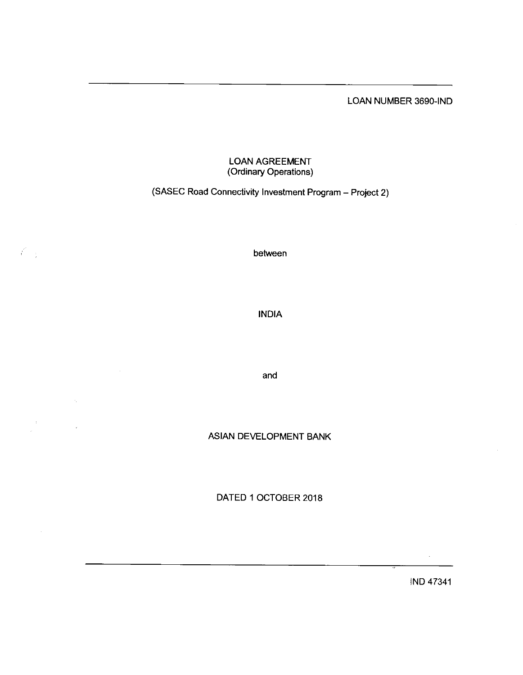LOAN NUMBER 3690-IND

# LOAN AGREEMEI (Ordinary Operations)

(SASEC Road Connectivity Investment Program- Project 2)

between

 $\mathcal{E}_{-1}$ 

 $\beta$ 

INDIA

and

ASIAN DEVELOPMENT BANK

DATED 1 0CTOBER 2018

IND 4734'l

 $\mathcal{L}$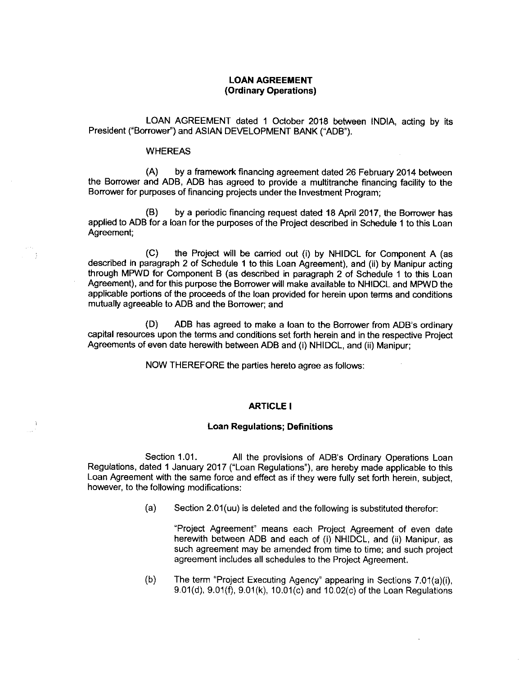# LOAN AGREEMENT (Ordinary Operations)

LOAN AGREEMENT dated 1 October 2018 between INDIA, acting by its President ("Borrower") and ASIAN DEVELOPMENT BANK ("ADB").

#### WHEREAS

(A) by aframework financing agreement dated 26 February 2014 between the Borrower and ADB, ADB has agreed to provide a multitranche financing facility to the Borrower for purposes of financing projects under the Investment Program;

(B) by a periodic financing request dated 18 April 2017, the Borrower has applied to ADB for a loan for the purposes of the Project described in Schedule 1 to this Loan Agreement;

(C) the Project will be carried out (i) by NHIDCL for Component A (as described in paragraph 2 of Schedule 1 to this Loan Agreement), and (ii) by Manipur acting through MPWD for Component B (as described in paragraph 2 of Schedule 1 to this Loan Agreement), and for this purpose the Borrower will make available to NHIDCL and MPWD the applicable portions of the proceeds of the loan provided for herein upon terms and conditions mutually agreeable to ADB and the Borrower;and

 $(D)$  ADB has agreed to make a loan to the Borrower from ADB's ordinary capital resources upon the terms and conditions set forth herein and in the respective Project Agreements of even date herewith between ADB and (i) NHIDCL, and (ii) Manipur;

NOW THEREFORE the parties hereto agree asfollows:

#### ARTICLE I

## Loan Regulations; Definitions

Section 1.01. All the provisions of ADB's Ordinary Operations Loan Regulations, dated I January 2017 ("Loan Regulations"), are hereby made applicable to this Loan Agreement with the same force and effect as if they were fully set forth herein, subject, however, to the following modifications:

 $(a)$  Section 2.01(uu) is deleted and the following is substituted therefor:

"Project Agreement" means each Project Agreement of even date herewith between ADB and each of (i) NHIDCL, and (ii) Manipur, as such agreement may be amended from time to time; and such project agreement includes all schedules to the Project Agreement.

(b) The term "Project Executing Agency" appearing in Sections 7.01(a)(i), 9.01(d), 9.01(f), 9.01(k), 10.01(c) and 10.02(c) of the Loan Regulations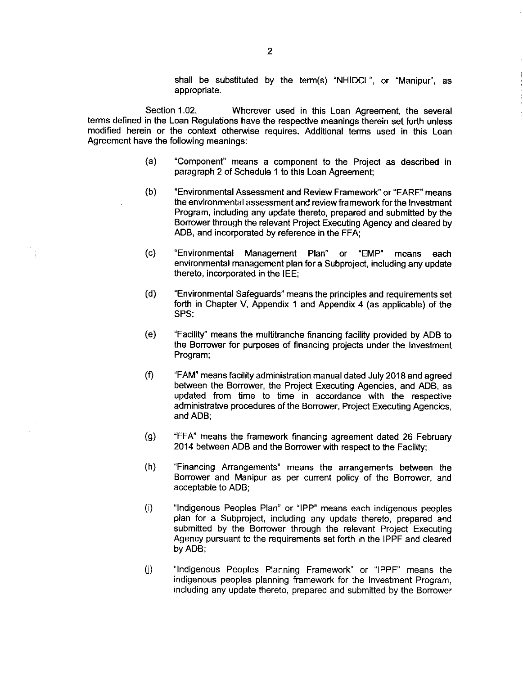shall be substituted by the term(s) "NHIDCL", or "Manipur", as appropriate.

Section 1.02. Wherever used in this Loan Agreement, the several terms defined in the Loan Regulations have the respective meanings therein set forth unless modified herein or the context otherwise requires. Additional terms used in this Loan Agreement have the following meanings:

- (a) "Component" means a component to the Project as described in paragraph 2 of Schedule 1 to this Loan Agreement;
- (b) "Environmental Assessment and Review Framework" or "EARF" means the environmental assessment and review framework for the Investment Program, including any update thereto, prepared and submitted by the Borrower through the relevant Project Executing Agency and cleared by ADB, and incorporated by reference in the FFA;
- (c) "Environmental Management Plan" or "EMP" means each environmental management plan for a Subproject, including any update thereto, incorporated in the IEE;
- (d) "Environmental Safeguards" means the principles and requirements set forth in Chapter V, Appendix 1 and Appendix 4 (as applicable) of the SPS:
- (e) "Facility" means the multitranchefinancing facility provided by ADB to the Borrower for purposes of financing projects under the Investment Program;
- (f) "FAM" meansfacility administration manualdated July 2018 and agreed between the Borrower, the Project Executing Agencies, and ADB, as updated from time to time in accordance with the respective administrative procedures of the Borrower, Project Executing Agencies, and ADB;
- (g) "FFA" means the framework financing agreement dated 26 February 2014 between ADB and the Borrower with respect to the Facility;
- (h) "Financing Arrangements" means the arrangements between the Borrower and Manipur as per current policy of the Borrower, and acceptable to ADB;
- (i) "lndigenous Peoples Plan" or "IPP" means each indigenous peoples plan for a Subproject, including any update thereto, prepared and submitted by the Borrower through the relevant Project Executing Agency pursuant to the requirements set forth in the IPPF and cleared by ADB;
- (j) "Indigenous Peoples Planning Framework" or "IPPF" means the indigenous peoples planning framework for the Investment Program, including any update thereto, prepared and submitted by the Borrower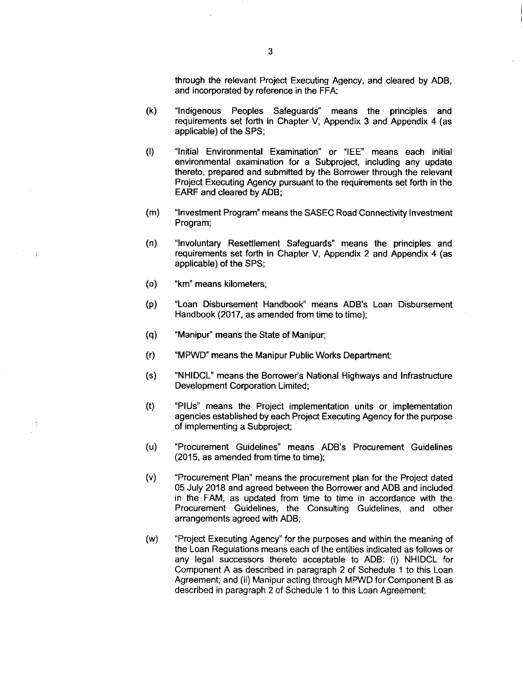through the relevant Project Executing Agency, and cleared by ADB, and incorporated by reference in the FFA;

- (k) "lndigenous Peoples Safeguards" means the principles and requirements set forth in Chapter V, Appendix 3 and Appendix 4 (as applicable) of the SPS;
- $(1)$ "Initial Environmental Examination" or "IEE" means each initial environmental examination for a Subproject, including any update thereto, prepared and submitted by the Borrower through the relevant Project Executing Agency pursuant to the requirements set forth in the EARF and cleared by ADB;
- (m) "Investment Program" means the SASEC Road Connectivity Investment Program;
- (n) "lnvoluntary Resettlement Safeguards" means the principles and requirements set forth in Chapter V, Appendix 2 and Appendix 4 (as applicable) of the SPS;
- (o) "km" means kilometers;
- (p) "Loan Disbursement Handbook" means ADB's Loan Disbursement Handbook (2017, as amended from time to time);
- (q) "Manipur" means the State of Manipur;
- $(r)$ "MPWD" means the Manipur Public Works Department;
- (s) "NHIDCL" means the Borrower's National Highways and Infrastructure Development Corporation Limited;
- $(t)$ "PIUs" means the Project implementation units or implementation agencies established by each Project Executing Agency for the purpose of implementing a Subproject;
- (u) "Procurement Guidelines" means ADB's Procurement Guidelines  $(2015, as amended from time to time);$
- $(v)$ "Procurement Plan" means the procurement plan for the Project dated 05 July 2018 and agreed between the Borrower and ADB and included in the FAM, as updated from time to time in accordance with the Procurement Guidelines, the Consulting Guidelines, and other arrangements agreed with ADB;
- (w) "Project Executing Agency" for the purposes and within the meaning of the Loan Regulations means each of the entities indicated as follows or any legal successors thereto acceptable to ADB: (i) NHIDCL for Component A as described in paragraph 2 of Schedule 1 to this Loan Agreement; and (ii) Manipur acting through MPWD for Component B as described in paragraph 2 of Schedule 1 to this Loan Agreement;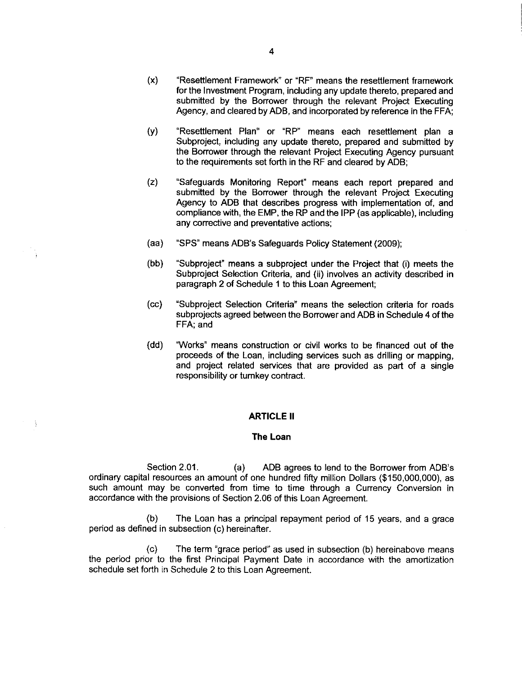- (x) "Resettlement Framework" or "RF" means the resettlement framework for the Investment Program, including any update thereto, prepared and submitted by the Borrower through the relevant Prolect Executing Agency, and cleared byADB, and incorporated by reference in the FFA;
- (y) "Resettlement Plan" or "RP" means each resettlement plan a Subproject, including any update thereto, prepared and submitted by the Borrower through the relevant Project Executing Agency pursuant to the requirements set forth in the RF and cleared by ADB;
- (Z) "Safeguards Monitoring Report" means each report prepared and submitted by the Borrower through the relevant Project Executing Agency to ADB that describes progress with implementation of, and compliance with, the EMP, the RP and the IPP (as applicable), including any corrective and preventative actions;
- (aa) "SPS" means ADB's Safeguards Policy Statement(2009);
- (bb) "Subproject" means a subproject under the Project that (i) meets the Subproject Selection Criteria, and (ii) involves an activity described in paragraph 2 of Schedule 4 to this Loan Agreement;
- (cc) "Subproject Selection Criteria" means the selection criteria for roads subprojects agreed between the Borrower and ADB in Schedule 4 of the FFA; and
- (dd) "Works" means construction or civil works to be financed out of the proceeds of the Loan, including services such as drilling or mapping, and project related services that are provided as part of a single responsibility or turnkey contract.

#### **ARTICLE II**

- ÿ

#### The Loan

Section 2.01. (a) ADB agrees to lend to the Borrower from ADB's ordinary capital resources an amount of one hundred fifty million Dollars (\$150,000,000), as such amount may be converted from time to time through a Currency Conversion in accordance with the provisions of Section 2.06 of this Loan Agreement.

(b) The Loan has a principal repayment period of 15 years, and a grace period as defined in subsection (c) hereinafter.

(c) The term "grace period" as used in subsection (b) hereinabove means the period prior to the first Principal Payment Date in accordance with the amortization schedule set forth in Schedule 2 to this Loan Agreement.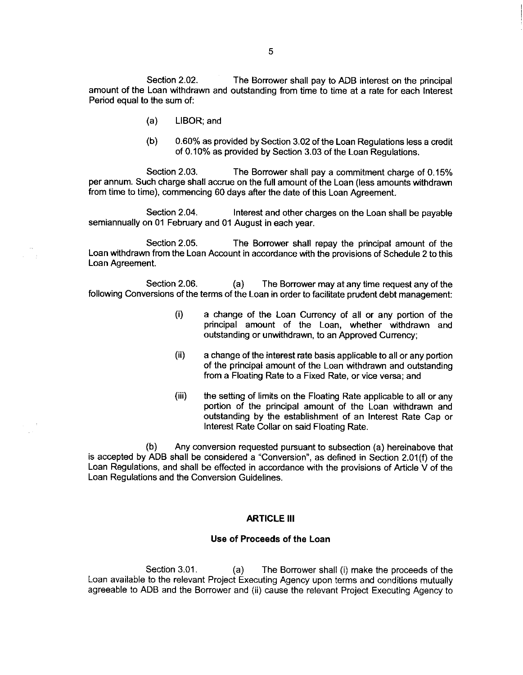Section 2.02. The Borrower shall pay to ADB interest on the principal amount of the Loan withdrawn and outstanding from time to time at a rate for each Interest Period equal to the sum of:

- (a) LIBOR; and
- (b) 0.60% as provided by Section 3.02 of the Loan Regulations less a credit of O.10%as provided by Section 3.03 of the Loan Regulations.

Section 2.03. The Borrower shall pay a commitment charge of O.15% per annum. Such charge shall accrue on thefull amount of the Loan(less amounts withdrawn from time to time), commencing 60 days after the date of this Loan Agreement.

Section 2.04. Interest and other charges on the Loan shall be payable semiannually on 01 February and 01 August in each year.

Section 2.05. The Borrower shall repay the principal amount of the Loan withdrawn from the Loan Account in accordance with the provisions of Schedule 2 to this Loan Agreement.

Section 2.06. (a) The Borrower may at any time request any of the following Conversions of the terms of the Loan in order to facilitate prudent debt management:

- (i) a change of the Loan Currency of all or any portion of the principal amount of the Loan, whether withdrawn and outstanding or unwithdrawn, to an Approved Currency;
- (ii) a change of the interest rate basis applicable to all or any portion of the principal amount of the Loan withdrawn and outstanding from a Floating Rate to a Fixed Rate, or vice versa; and
- (iii) the setting of limits on the Floating Rate applicable to all or any portion of the principal amount of the Loan withdrawn and outstanding by the establishment of an Interest Rate Cap or Interest Rate Collar on said Floating Rate.

(b) Any conversion requested pursuant to subsection (a) hereinabove that is accepted by ADB shall be considered a "Conversion", as defined in Section 2.01(f) of the Loan Regulations, and shall be effected in accordance with the provisions of Article V of the Loan Regulations and the Conversion Guidelines.

## **ARTICLE III**

#### Use of Proceeds of the Loan

Section 3.01. (a) The Borrower shall (i) make the proceeds of the Loan available to the relevant Project Executing Agency upon terms and conditions mutually agreeable to ADB and the Borrower and (ii) cause the relevant Project Executing Agency to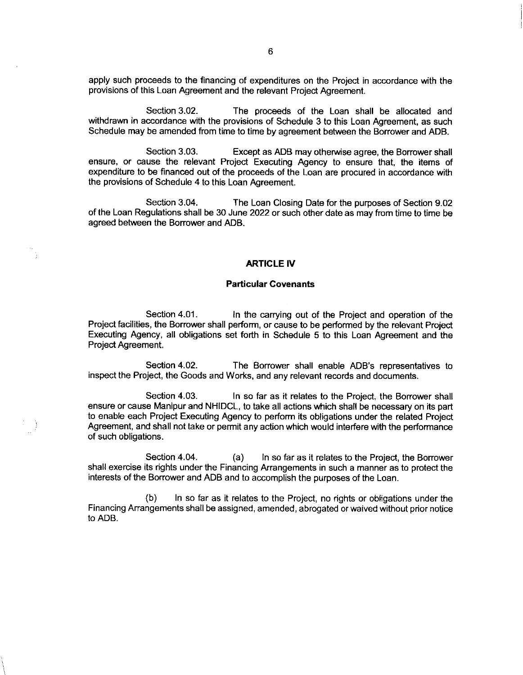apply such proceeds to the financing of expenditures on the Project in accordance with the provisions of this Loan Agreement and the relevant Project Agreement.

Section 3.02. The proceeds of the Loan shall be allocated and withdrawn in accordance with the provisions of Schedule 3 to this Loan Agreement, as such Schedule may be amended from time to time by agreement between the Borrower and ADB.

Section 3.03. Except as ADB may otherwise agree, the Borrower shall ensure, or cause the relevant Project Executing Agency to ensure that, the items of expenditure to be financed out of the proceeds of the Loan are procured in accordance with the provisions of Schedule 4 to this Loan Agreement.

Section 3.04. The Loan Closing Date for the purposes of Section 9.02 of the Loan Regulations shall be 30 June 2022 or such other date as may from time to time be agreed between the Borrower and ADB.

#### ARTICLE IV

## Particular Covenants

Section 4.01. In the carrying out of the Project and operation of the Project facilities, the Borrower shall perform, or cause to be performed by the relevant Project Executing Agency, all obligations set forth in Schedule 5 to this Loan Agreement and the Project Agreement.

Section 4.02. The Borrower shall enable ADB's representatives to inspect the Project, the Goods and Works, and any relevant records and documents.

Section 4.03. **In so far as it relates to the Project, the Borrower shall** ensure or cause Manipur and NHIDCL, to take all actions which shall be necessary on its part to enable each Project Executing Agency to perform its obligations under the related Project Agreement, and shall not take or permit any action which would interfere with the performance of such obligations.

Section 4.04. (a) In so far as it relates to the Project, the Borrower shall exercise its rights under the Financing Arrangements in such a manner as to protect the interests of the Borrower and ADB and to accomplish the purposes of the Loan.

(b) In so far as it relates to the Project, no rights or obligations under the Financing Arrangements shall be assigned, amended, abrogated or waived without prior notice to ADB,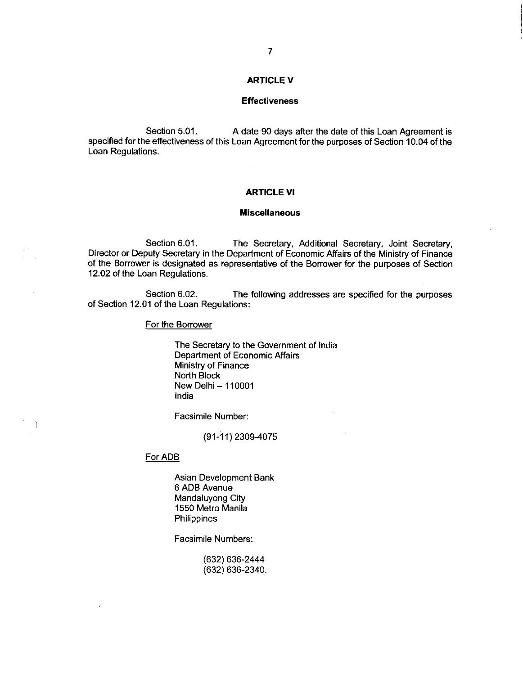# ARTICLE V

## **Effectiveness**

Section 5.01. A date 90 days after the date of this Loan Agreement is specified for the effectiveness of this Loan Agreement for the purposes of Section 10.04 of the Loan Regulations.

# ARTICLE Vl

## **Miscellaneous**

Section 6.01. The Secretary, Additional Secretary, Joint Secretary, Director or Deputy Secretary in the Department of Economic Affairs of the Ministry of Finance of the Borrower is designated as representative of the Borrower for the purposes of Section 12.02 of the Loan Regulations.

Section 6.02. The following addresses are specified for the purposes of Section 12.01 of the Loan Regulations:

#### For the Borrower

The Secretary to the Government of India Department of Economic Affairs Ministry of Finance North Block New Delhi - 110001 India

Facsimile Number:

(91-11) 2309-4075

For ADB

J.

Asian Development Bank 6 ADB Avenue Mandaluyong City 1550 Metro Manila **Philippines** 

Facsimile Numbers:

(632) 636- 2444 (632) 636- 2340.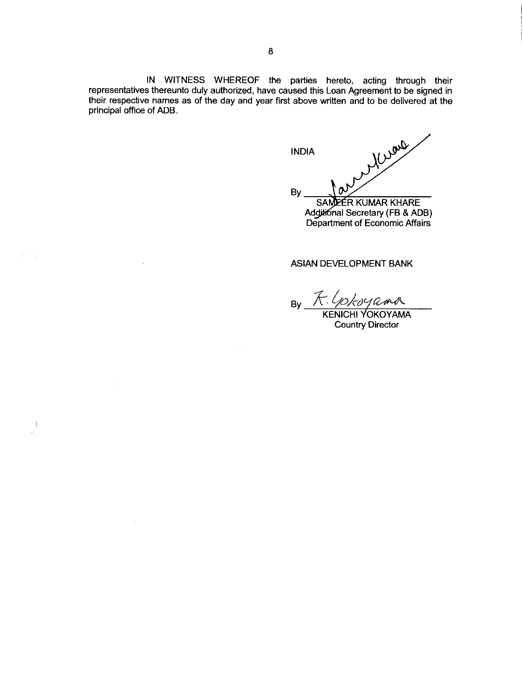IN WITNESS WHEREOF the parties hereto, acting through their representatives thereunto duly authorized, have caused this Loan Agreement to be signed in their respective names as of the day and year first above written and to be delivered at the principal office of ADB.

Ì

Murare INDIA By 0 SAMEER KUMAR KHARE

AddatonalSecretary(FB & ADB) Department of EconomicAffairs

# ASIAN DEVELOPMENT BANK

By K. Gokoyama

Country Director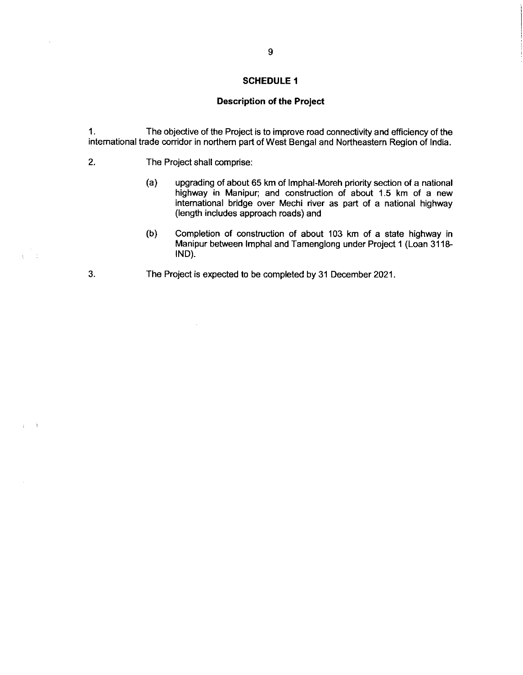# Description of the Project

1. The objective of the Projectis to improve road connectivityand efficiency of the international trade corridor in northern part of West Bengal and Northeastern Region of India.

 $2.$ The Project shall comprise:

 $3.$ 

 $\alpha=3$ 

- (a) upgrading of about 65 km of Imphal- Moreh priority section of a national highway in Manipur; and construction of about 1.5 km of a new international bridge over Mechi river as part of a national highway (length includes approach roads) and
- (b) Completion of construction of about 103 km of a state highway in Manipur between Imphal and Tamenglong under Project 1 (Loan 3118-IND).
- The Project is expected to be completed by 31 December 2021.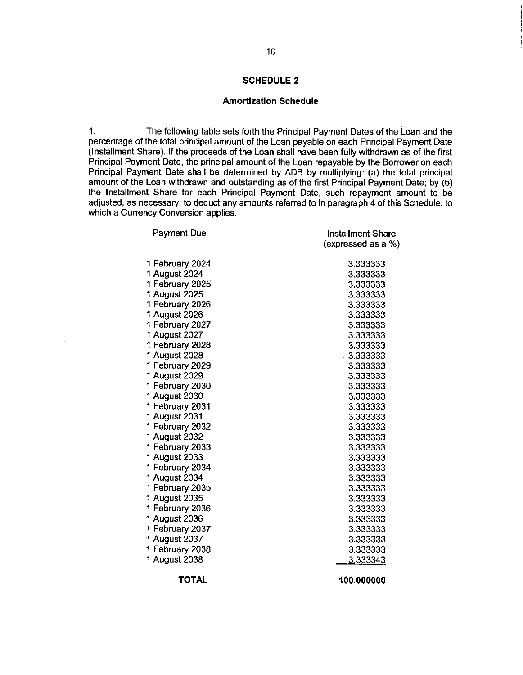## **Amortization Schedule**

1. The following table sets forth the Principal Payment Dates of the Loan and the percentage of the total principal amount of the Loan payable on each Principal Payment Date (Installment Share). If the proceeds of the Loan shall have been fully withdrawn as of the first Principal Payment Date, the principal amount of the Loan repayable by the Borrower on each Principal Payment Date shall be determined by ADB by multiplying: (a) the total principal amount of the Loan withdrawn and outstanding as of the first Principal Payment Date; by (b) the Installment Share for each Principal Payment Date, such repayment amount to be adjusted, as necessary, to deduct any amounts referred to in paragraph 4 of this Schedule, to which a Currency Conversion applies.

| <b>Payment Due</b> | <b>Installment Share</b><br>(expressed as a %) |
|--------------------|------------------------------------------------|
| 1 February 2024    | 3.333333                                       |
| 1 August 2024      | 3.333333                                       |
| 1 February 2025    | 3.333333                                       |
| 1 August 2025      | 3.333333                                       |
| 1 February 2026    | 3.333333                                       |
| 1 August 2026      | 3.333333                                       |
| 1 February 2027    | 3.333333                                       |
| 1 August 2027      | 3.333333                                       |
| 1 February 2028    | 3.333333                                       |
| 1 August 2028      | $-3.333333$                                    |
| 1 February 2029    | 3.333333                                       |
| 1 August 2029      | 3.333333                                       |
| 1 February 2030    | 3.333333                                       |
| 1 August 2030      | 3.333333                                       |
| 1 February 2031    | 3.333333                                       |
| 1 August 2031      | 3.333333                                       |
| 1 February 2032    | 3.333333                                       |
| 1 August 2032      | 3.333333                                       |
| 1 February 2033    | 3.333333                                       |
| 1 August 2033      | 3.333333                                       |
| 1 February 2034    | 3.333333                                       |
| 1 August 2034      | 3.333333                                       |
| 1 February 2035    | 3.333333                                       |
| 1 August 2035      | 3.333333                                       |
| 1 February 2036    | 3.333333                                       |
| 1 August 2036      | 3.333333                                       |
| 1 February 2037    | 3.333333                                       |
| 1 August 2037      | 3.333333                                       |
| 1 February 2038    | 3.333333                                       |
| 1 August 2038      | 3.333343                                       |
|                    |                                                |

TOTAL 100.000000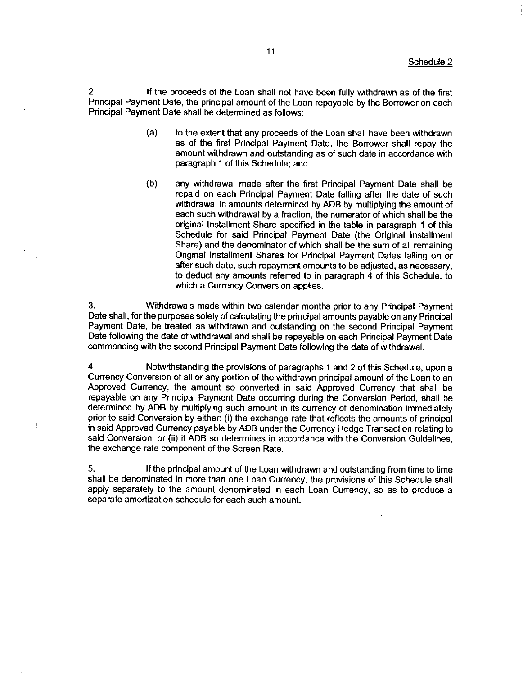2. If the proceeds of the Loan shall not have beenfully withdrawn as of the first Principal Payment Date, the principal amount of the Loan repayable by the Borrower on each Principal Payment Date shall be determined as follows:

- (a) to the extent that any proceeds of the Loan shall have been withdrawn as of the first Principal Payment Date, the Borrower shall repay the amount withdrawn and outstanding as of such date in accordance with paragraph 4 of this Schedule; and
- (b) any withdrawal made after the first Principal Payment Date shall be repaid on each Principal Payment Date falling after the date of such withdrawal in amounts determined by ADB by multiplying the amount of each such withdrawal by afraction, the numerator of which shall be the original Installment Share specified in the table in paragraph 1 of this Schedule for said Principal Payment Date (the Original Installment Share) and the denominator of which shall be the sum of all remaining Original Installment Shares for Principal Payment Dates falling on or after such date, such repayment amounts to be adjusted, as necessary, to deduct any amounts referred to in paragraph 4 of this Schedule, to which a Currency Conversion applies.

3. Withdrawals made within two calendar months prior to any Principal Payment Date shall, for the purposes solely of calculating the principal amounts payable on any Principal Payment Date, be treated as withdrawn and outstanding on the second Principal Payment Date following the date of withdrawal and shall be repayable on each Principal Payment Date commencing with the second Principal Payment Datefollowing the date of withdrawal.

4. Notwithstanding the provisions of paragraphs1 and 2 of this Schedule, upon a Currency Conversion of all or any portion of the withdrawn principal amount of the Loan to an Approved Currency, the amount so converted in said Approved Currency that shall be repayable on any Principal Payment Date occurring during the Conversion Period, shall be determined by ADB by multiplying such amount in its currency of denomination immediately prior to said Conversion by either: (i) the exchange rate that reflects the amounts of principal in said Approved Currency payable by ADB under the Currency Hedge Transaction relating to said Conversion; or (ii) if ADB so determines in accordance with the Conversion Guidelines, the exchange rate component of the Screen Rate.

j.

5. If the principal amount of the Loan withdrawn and outstanding from time to time shall be denominated in more than one Loan Currency, the provisions of this Schedule shall apply separately to the amount denominated in each Loan Currency, so as to produce a separate amortization schedule for each such amount.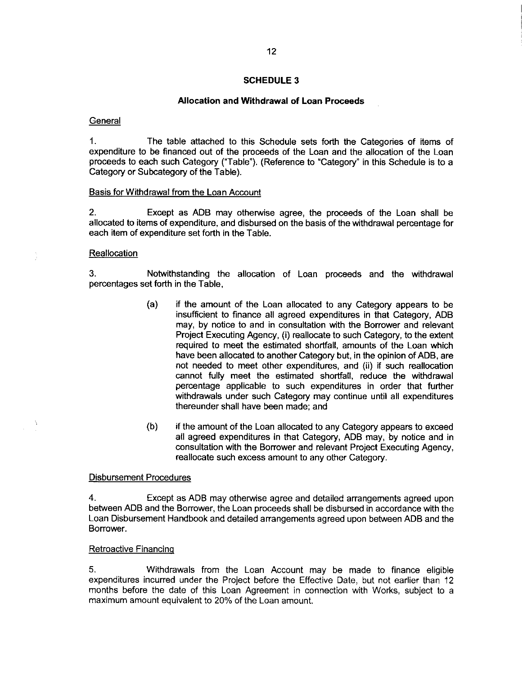## Allocation and Withdrawal of Loan Proceeds

**General** 

1. The table attached to this Schedule sets forth the Categories of items of expenditure to be financed out of the proceeds of the Loan and the allocation of the Loan proceeds to each such Category ("Table"). (Reference to "Category" in this Schedule is to a Category or Subcategory of the Table).

#### Basis for Withdrawal from the Loan Account

2. Except as ADB may otherwise agree, the proceeds of the Loan shall be allocated to items of expenditure, and disbursed on the basis of the withdrawal percentage for each item of expenditure set forth in the Table.

#### **Reallocation**

3. Notwithstanding the allocation of Loan proceeds and the withdrawal percentages set forth in the Table,

- (a) if the amount of the Loan allocated to any Category appears to be insufficient to finance all agreed expenditures in that Category, ADB may, by notice to and in consultation with the Borrower and relevant Project Executing Agency, (i) reallocate to such Category, to the extent required to meet the estimated shortfall, amounts of the Loan which have been allocated to another Category but, in the opinion of ADB, are not needed to meet other expenditures, and (ii) if such reallocation cannot fully meet the estimated shortfall, reduce the withdrawal percentage applicable to such expenditures in order that further withdrawals under such Category may continue until all expenditures thereunder shall have been made; and
- (b) if the amount of the Loan allocated to any Category appears to exceed all agreed expenditures in that Category, ADB may, by notice and in consultation with the Borrower and relevant Project Executing Agency, reallocate such excess amount to any other Category.

#### Disbursement Procedures

4. Except as ADB may otherwise agree and detailed arrangements agreed upon betweenADB and the Borrower, the Loan proceeds shall be disbursed in accordance with the Loan Disbursement Handbook and detailed arrangements agreed upon betweenADB and the Borrower.

#### Retroactive Financinq

5. Withdrawals from the Loan Account may be made to finance eligible expenditures incurred under the Project before the Effective Date, but not earlier than 12 months before the date of this Loan Agreement in connection with Works, subject to a maximum amount equivalent to 20% of the Loan amount.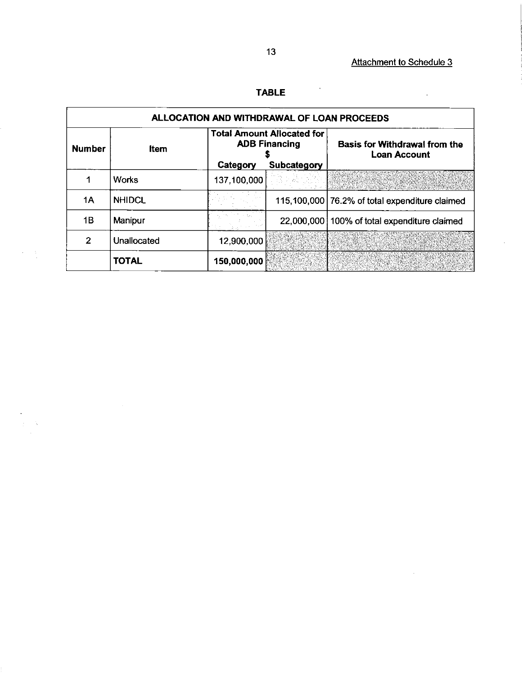$\bar{\mathcal{A}}$ 

 $\sim 10^6$ 

 $\epsilon$ 

# TABLE

 $\boldsymbol{\beta}$ 

| ALLOCATION AND WITHDRAWAL OF LOAN PROCEEDS |               |             |                                                           |                                                             |  |
|--------------------------------------------|---------------|-------------|-----------------------------------------------------------|-------------------------------------------------------------|--|
| <b>Number</b>                              | <b>Item</b>   |             | <b>Total Amount Allocated for</b><br><b>ADB Financing</b> | <b>Basis for Withdrawal from the</b><br><b>Loan Account</b> |  |
|                                            |               | Category    | Subcategory                                               |                                                             |  |
|                                            | <b>Works</b>  | 137,100,000 |                                                           |                                                             |  |
| 1Α                                         | <b>NHIDCL</b> |             |                                                           | 115,100,000 76.2% of total expenditure claimed              |  |
| 1Β                                         | Manipur       |             |                                                           | 22,000,000   100% of total expenditure claimed              |  |
| 2                                          | Unallocated   | 12,900,000  |                                                           |                                                             |  |
|                                            | <b>TOTAL</b>  | 150,000,000 |                                                           |                                                             |  |

 $\frac{1}{2} \left( \frac{1}{2} \right)$ 

 $\alpha$  $\frac{d}{dt} \sum_{i=1}^n \frac{d}{dt} \frac{d}{dt} \frac{d}{dt} \frac{d}{dt} \frac{d}{dt} \frac{d}{dt} \frac{d}{dt} \frac{d}{dt} \frac{d}{dt} \frac{d}{dt} \frac{d}{dt} \frac{d}{dt} \frac{d}{dt} \frac{d}{dt} \frac{d}{dt} \frac{d}{dt} \frac{d}{dt} \frac{d}{dt} \frac{d}{dt} \frac{d}{dt} \frac{d}{dt} \frac{d}{dt} \frac{d}{dt} \frac{d}{dt} \frac{d}{dt} \frac{d}{dt} \frac{d}{dt} \frac{d}{dt} \frac{d}{dt} \$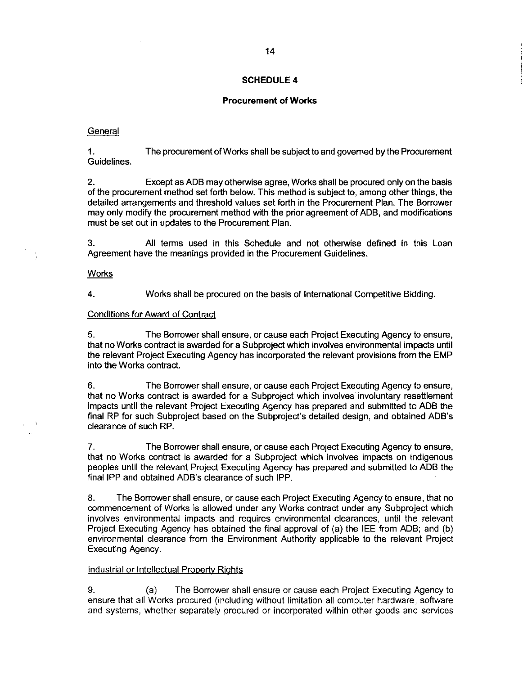# Procurement of Works

## **General**

1. The procurement of Works shall be subject to and governed by the Procurement Guidelines.

2. Except as ADB may otherwise agree, Works shall be procured only on the basis of the procurement method set forth below. This method is subject to, among other things, the detailed arrangements and threshold values set forth in the Procurement Plan. The Borrower may only modify the procurement method with the prior agreement of ADB, and modifications must be set out in updates to the Procurement Plan.

3. All terms used in this Schedule and not otherwise defined in this Loan Agreement have the meanings provided in the Procurement Guidelines.

#### **Works**

À

4. Works shall be procured on the basis of International Competitive Bidding.

# Conditions for Award of Contract

5. The Borrower shall ensure, or cause each Project Executing Agency to ensure, that no Works contract is awarded for a Subproject which involves environmental impacts until the relevant Project Executing Agency has incorporated the relevant provisions from the EMP into the Works contract.

6. The Borrower shall ensure, or cause each Project Executing Agency to ensure, that no Works contract is awarded for a Subproject which involves involuntary resettlement impacts until the relevant Project Executing Agency has prepared and submitted to ADB the final RP for such Subproject based on the Subproject's detailed design, and obtained ADB's clearance of such RP.

7. The Borrower shall ensure, or cause each Project Executing Agency to ensure, that no Works contract is awarded for a Subproject which involves impacts on indigenous peoples until the relevant Project Executing Agency has prepared and submitted to ADB the final IPP and obtained ADB's clearance of such IPP.

8. The Borrower shall ensure, or cause each Project Executing Agency to ensure, that no commencement of Works is allowed under any Works contract under any Subproject which involves environmental impacts and requires environmental clearances, until the relevant Project Executing Agency has obtained the final approval of (a) the IEE from ADB; and (b) environmental clearance from the Environment Authority applicable to the relevant Project Executing Agency.

# Industrial or Intellectual Property Riqhts

9. (a) The Borrower shall ensure or cause each Project Executing Agency to ensure that all Works procured (including without limitation all computer hardware, software and systems, whether separately procured or incorporated within other goods and services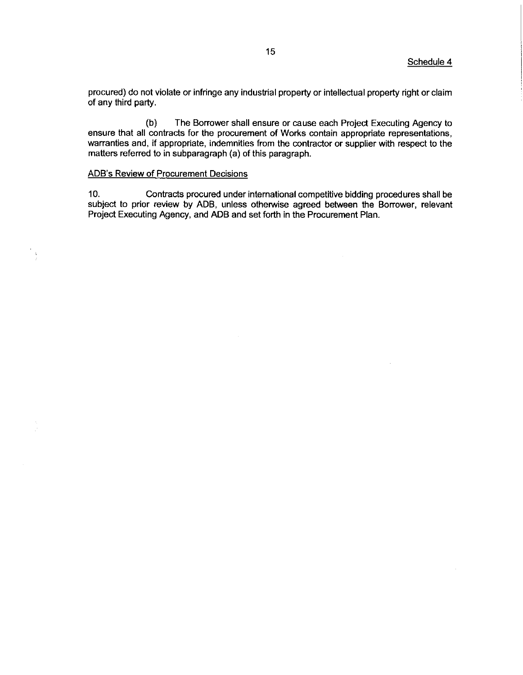procured) do not violate or infringe any industrial property or intellectual property right or claim of any third party.

(b) The Borrower shall ensure or cause each Project Executing Agency to ensure that all contracts for the procurement of Works contain appropriate representations, warranties and, if appropriate, indemnities from the contractor or supplier with respect to the matters referred to in subparagraph(a) of this paragraph.

## ADB's Review of Procurement Decisions

10. Contracts procured underinternational competitive bidding procedures shall be subject to prior review by ADB, unless otherwise agreed between the Borrower, relevant Project Executing Agency, and ADB and set forth in the Procurement Plan.

 $\sim$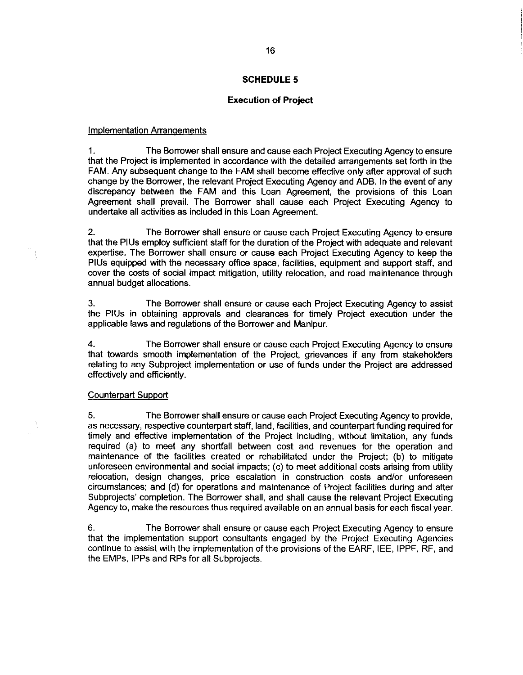## Execution of Project

#### Implementation Arranqements

1. The Borrower shall ensure and cause each Project ExecutingAgency to ensure that the Project is implemented in accordance with the detailed arrangements setforth in the FAM. Any subsequent change to the FAM shall become effective only after approval of such change by the Borrower, the relevant Project Executing Agency and ADB. In the event of any discrepancy between the FAM and this Loan Agreement, the provisions of this Loan Agreement shall prevail. The Borrower shall cause each Project Executing Agency to undertake all activities as included in this Loan Agreement.

2. The Borrower shall ensure or cause each Project Executing Agency to ensure that the PIUs employ sufficient staff for the duration of the Project with adequate and relevant expertise. The Borrower shall ensure or cause each Project Executing Agency to keep the PIUs equipped with the necessary office space, facilities, equipment and support staff, and cover the costs of social impact mitigation, utility relocation, and road maintenance through annual budget allocations

3. The Borrower shall ensure or cause each Project Executing Agency to assist the PIUs in obtaining approvals and clearances for timely Project execution under the applicable laws and regulations of the Borrower and Manipur.

4. The Borrower shall ensure or cause each Project Executing Agency to ensure that towards smooth implementation of the Project, grievances if any from stakeholders relating to any Subproject implementation or use of funds under the Project are addressed effectively and efficiently.

# Counterpart Support

5. The Borrower shall ensure or cause each Project Executing Agency to provide, as necessary, respective counterpart staff, land, facilities, and counterpart funding required for timely and effective implementation of the Project including, without limitation, any funds required (a) to meet any shortfall between cost and revenues for the operation and maintenance of the facilities created or rehabilitated under the Prolect; (b) to mitigate unforeseen environmental and social impacts; (c) to meet additional costs arising from utility relocation, design changes, price escalation in construction costs and/or unforeseen circumstances; and (d) for operations and maintenance of Project facilities during and after Subprojects' completion. The Borrower shall, and shall cause the relevant Project Executing Agency to, make the resources thus required available on an annual basis for each fiscal year.

6. The Borrower shall ensure or cause each Project Executing Agency to ensure that the implementation support consultants engaged by the Project Executing Agencies continue to assist with the implementation of the provisions of the EARF, IEE, IPPF, RF, and the EMPs, IPPs and RPs for all Subprojects.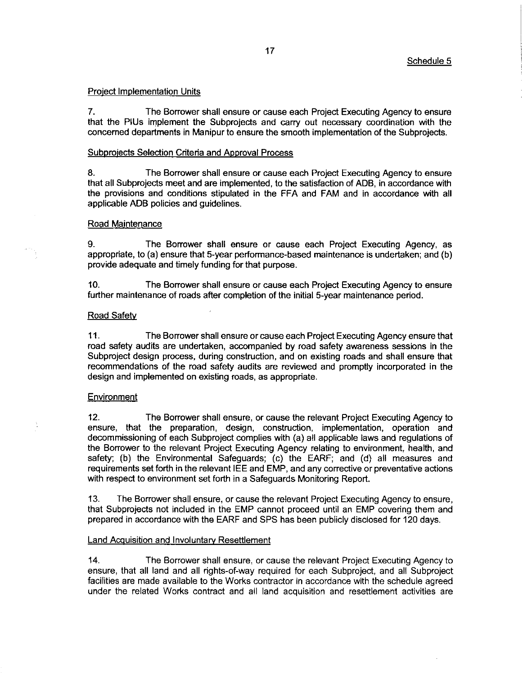#### Project Implementation Units

7. The Borrower shall ensure or cause each Project Executing Agency to ensure that the PIUs implement the Subprojects and carry out necessary coordination with the concerned departments in Manipur to ensure the smooth implementation of the Subprojects.

#### Subprojects Selection Criteria and Approval Process

8. The Borrower shall ensure or cause each Project Executing Agency to ensure that all Subprojects meet and are implemented, to the satisfaction of ADB, in accordance with the provisions and conditions stipulated in the FFA and FAM and in accordance with all applicable ADB policies and guidelines.

#### Road Maintenance

9. The Borrower shall ensure or cause each Project Executing Agency, as appropriate, to (a) ensure that 5-year performance-based maintenance is undertaken; and (b) provide adequate and timely funding for that purpose.

10. The Borrower shall ensure or cause each Project Executing Agency to ensure further maintenance of roads after completion of the initial 5-year maintenance period.

#### Road Safety

11. The Borrower shall ensure or cause each Project Executing Agency ensure that road safety audits are undertaken, accompanied by road safety awareness sessions in the Subproject design process, during construction, and on existing roads and shall ensure that recommendations of the road safety audits are reviewed and promptly incorporated in the design and implemented on existing roads, as appropriate.

## Environment

12. The Borrower shall ensure, or cause the relevant Project Executing Agency to ensure, that the preparation, design, construction, implementation, operation and decommissioning of each Subproject complies with (a) all applicable laws and regulations of the Borrower to the relevant Project Executing Agency relating to environment, health, and safety; (b) the Environmental Safeguards; (c) the EARF; and (d) all measures and requirements set forth in the relevant IEE and EMP, and any corrective or preventative actions with respect to environment set forth in a Safeguards Monitoring Report.

13. The Borrower shall ensure, or cause the relevant Project Executing Agency to ensure, that Subprojects not included in the EMP cannot proceed until an EMP covering them and prepared in accordance with the EARF and SPS has been publicly disclosed for 120 days.

#### Land Acquisition and Involuntary Resettlement

'14. The Borrower shall ensure, or cause the relevant Project Executing Agency to ensure, that all land and all rights-of-way required for each Subproject, and all Subproject facilities are made available to the Works contractor in accordance with the schedule agreed under the related Works contract and all land acquisition and resettlement activities are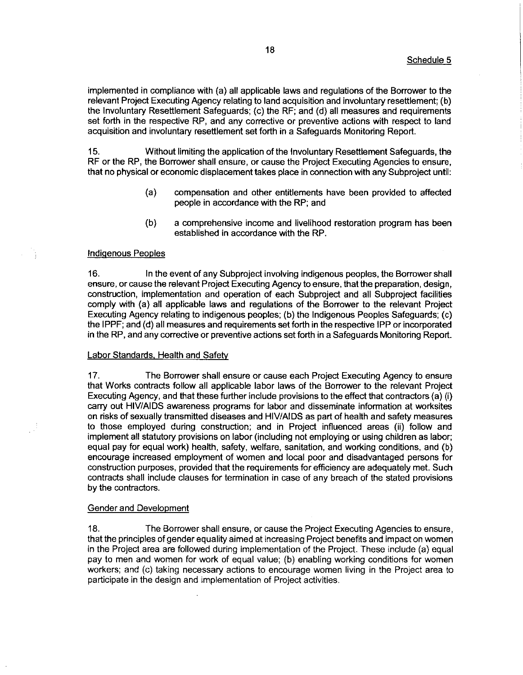implemented in compliance with  $(a)$  all applicable laws and regulations of the Borrower to the relevant Project Executing Agency relating to land acquisition and involuntary resettlement; (b) the Involuntary Resettlement Safeguards;(c) the RF; and (d) all measures and requirements set forth in the respective RP, and any corrective or preventive actions with respect to land acquisition and involuntary resettlement setforth in a Safeguards Monitoring Report.

15. Without limiting the application of the Involuntary Resettlement Safeguards, the RF or the RP, the Borrower shall ensure, or cause the Project Executing Agencies to ensure, that no physical or economic displacement takes place in connection with any Subproject until:

- (a) compensation and other entitlements have been provided to affected people in accordance with the RP; and
- (b) a comprehensive income and livelihood restoration program has been established in accordance with the RP.

## Indiqenous Peoples

16. In the event of any Subproject involving indigenous peoples, the Borrower shall ensure, or cause the relevant Project Executing Agency to ensure, that the preparation, design, construction, implementation and operation of each Subproject and all Subproject facilities comply with (a) all applicable laws and regulations of the Borrower to the relevant Project Executing Agency relating to indigenous peoples;(b) the Indigenous Peoples Safeguards;(c) the IPPF; and (d) all measures and requirements set forth in the respective IPP or incorporated in the RP, and any corrective or preventive actions setforth in a Safeguards Monitoring Report.

## Labor Standards, Health and Safety

47. The Borrower shall ensure or cause each Project Executing Agency to ensure that Works contracts follow all applicable labor laws of the Borrower to the relevant Prolect Executing Agency, and that these further include provisions to the effect that contractors (a) (i) carry out HIV/AIDS awareness programs for labor and disseminate information at worksites on risks of sexually transmitted diseases and HIV/AIDS as part of health and safety measures to those employed during construction; and in Project influenced areas (ii) follow and implement all statutory provisions on labor (including not employing or using children as labor; equal pay for equal work) health, safety, welfare, sanitation, and working conditions, and (b) encourage increased employment of women and local poor and disadvantaged persons for construction purposes, provided that the requirements for efficiency are adequately met. Such contracts shall include clauses for termination in case of any breach of the stated provisions by the contractors.

#### Gender and Development

18. The Borrower shall ensure, or cause the Project Executing Agencies to ensure, that the principles of gender equality aimed at increasing Project benefits and impact on women in the Project area are followed during implementation of the Project. These include (a) equal pay to men and women for work of equal value; (b) enabling working conditions for women workers; and (c) taking necessary actions to encourage women living in the Project area to participate in the design and implementation of Prolect activities.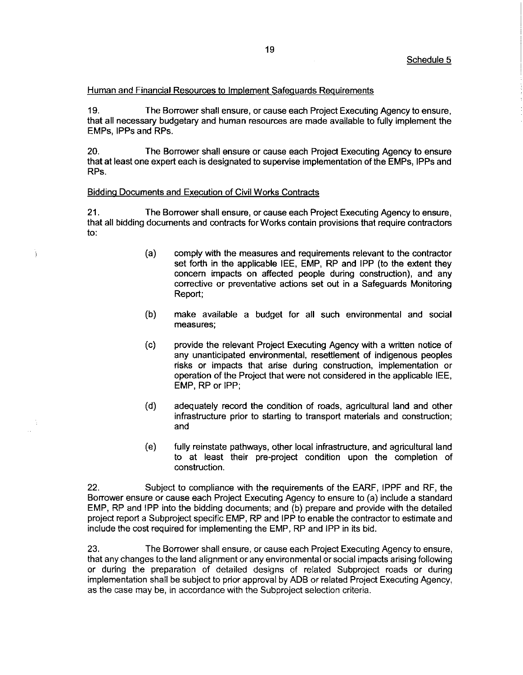## Human and Financial Resources to Implement Safequards Requirements

19. The Borrower shall ensure, or cause each Project Executing Agency to ensure, that all necessary budgetary and human resources are made available to fully implement the EMPs, IPPs and RPs.

20. The Borrower shall ensure or cause each Project ExecutingAgency to ensure that at least one expert each is designated to supervise implementation of the EMPs, IPPs and RPs.

## Biddinq Documents and Execution of Civil Works Contracts

Ì

21. The Borrower shall ensure, or cause each Project Executing Agency to ensure, that all bidding documents and contractsfor Works contain provisions that require contractors to:

- (a) comply with the measures and requirements relevant to the contractor set forth in the applicable IEE, EMP, RP and IPP (to the extent they concern impacts on affected people during construction), and any corrective or preventative actions set out in a Safeguards Monitoring Report;
- (b) make available a budget for all such environmental and social measures;
- (C) provide the relevant Project Executing Agency with a written notice of any unanticipated environmental, resettlement of indigenous peoples risks or impacts that arise during construction, implementation or operation of the Project that were not considered in the applicable IEE, EMP, RP or IPP;
- (d) adequately record the condition of roads, agricultural land and other infrastructure prior to starting to transport materials and construction; and
- (e) fully reinstate pathways, other local infrastructure, and agricultural land to at least their pre-project condition upon the completion of construction

22. Subject to compliance with the requirements of the EARF, IPPF and RF, the Borrower ensure or cause each Project Executing Agency to ensure to (a) include a standard EMP, RP and IPP into the bidding documents; and (b) prepare and provide with the detailed project report a Subproject specific EMP, RP and IPP to enable the contractor to estimate and include the cost required for implementing the EMP, RP and IPP in its bid.

23. The Borrower shall ensure, or cause each Project Executing Agency to ensure, that any changes to the land alignment or any environmental or social impacts arising following or during the preparation of detailed designs of related Subproject roads or during implementation shall be subject to prior approval by ADB or related Project Executing Agency, as the case may be, in accordance with the Subproject selection criteria.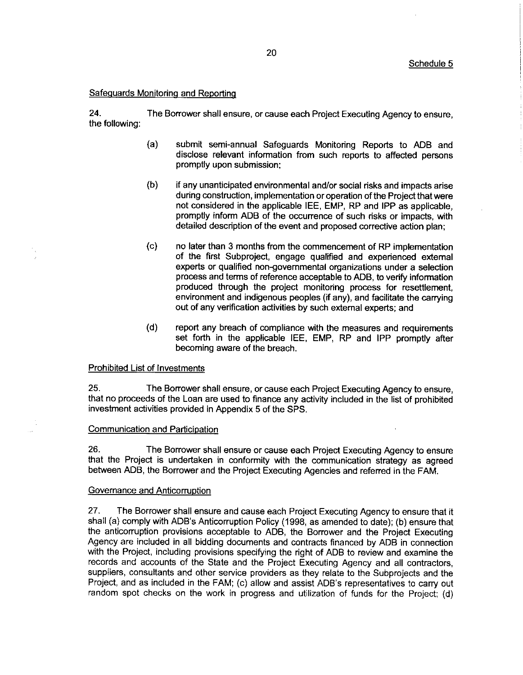### Safequards Monitorinq and Reportinq

24. The Borrower shall ensure, or cause each Project Executing Agency to ensure, the following:

- (a) submit semi-annual Safeguards Monitoring Reports to ADB and disclose relevant information from such reports to affected persons promptly upon submission;
- (b) if any unanticipated environmental and/or social risks and impacts arise during construction, implementation or operation of the Project that were not considered in the applicable IEE, EMP, RP and IPP as applicable, promptly inform ADB of the occurrence of such risks or impacts, with detailed description of the event and proposed corrective action plan;
- (c) no later than 3 months from the commencement of RP implementation of the first Subproject, engage qualified and experienced external experts or qualified non-governmental organizations under a selection process and terms of reference acceptable to ADB, to verify information produced through the project monitoring process for resettlement, environment and indigenous peoples (if any), and facilitate the carrying out of any verification activities by such external experts; and
- (d) report any breach of compliance with the measures and requirements set forth in the applicable IEE, EMP, RP and IPP promptly after becoming aware of the breach.

# Prohibited List of Investments

25. The Borrower shall ensure, or cause each Project Executing Agency to ensure, that no proceeds of the Loan are used to finance any activity included in the list of prohibited investment activities provided in Appendix 5 of the SPS.

## Communication and Participation

26. The Borrower shall ensure or cause each Project Executing Agency to ensure that the Project is undertaken in conformity with the communication strategy as agreed between ADB, the Borrower and the Project Executing Agencies and referred in the FAM.

## Governance and Anticorruption

27. The Borrower shall ensure and cause each Project Executing Agency to ensure that it shall (a) comply with ADB's Anticorruption Policy (1998, as amended to date); (b) ensure that the anticorruption provisions acceptable to ADB, the Borrower and the Project Executing Agency are included in all bidding documents and contracts financed by ADB in connection with the Project, including provisions specifying the right of ADB to review and examine the records and accounts of the State and the Project Executing Agency and all contractors, suppliers, consultants and other service providers as they relate to the Subprojects and the Project, and as included in the FAM; (c) allow and assist ADB's representatives to carry out random spot checks on the work in progress and utilization of funds for the Project; (d)